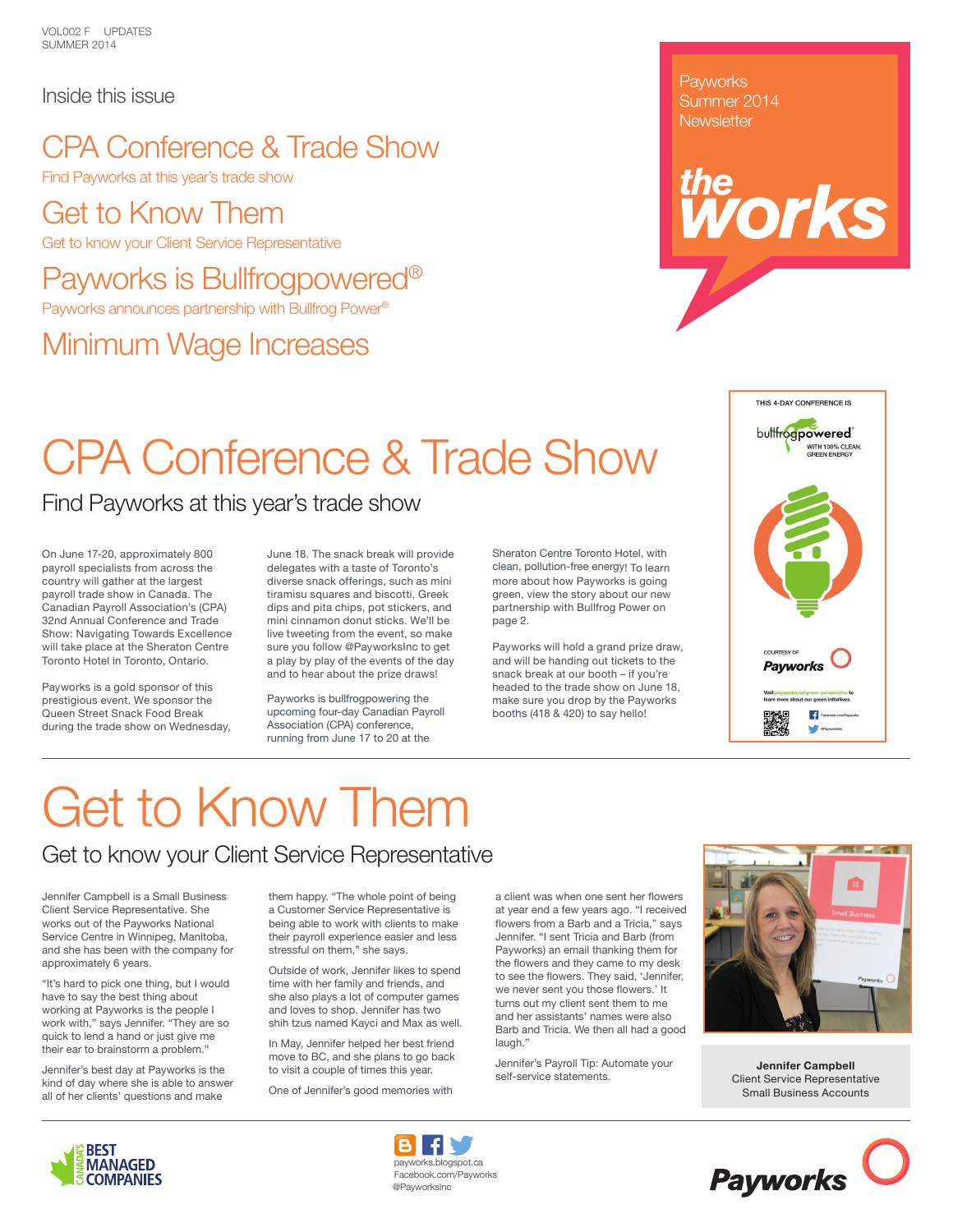#### Inside this issue

### CPA Conference & Trade Show

Find Payworks at this year's trade show

### Get to Know Them

Get to know your Client Service Representative

### Payworks is Bullfrogpowered®

Payworks announces partnership with Bullfrog Power®

### Minimum Wage Increases

**Payworks** Summer 2014 **Newsletter** 

# **reprised**

# CPA Conference & Trade Show

#### Find Payworks at this year's trade show

On June 17-20, approximately 800 payroll specialists from across the country will gather at the largest payroll trade show in Canada. The Canadian Payroll Association's (CPA) 32nd Annual Conference and Trade Show: Navigating Towards Excellence will take place at the Sheraton Centre Toronto Hotel in Toronto, Ontario.

Payworks is a gold sponsor of this prestigious event. We sponsor the Queen Street Snack Food Break during the trade show on Wednesday, June 18. The snack break will provide delegates with a taste of Toronto's diverse snack offerings, such as mini tiramisu squares and biscotti, Greek dips and pita chips, pot stickers, and mini cinnamon donut sticks. We'll be live tweeting from the event, so make sure you follow @PayworksInc to get a play by play of the events of the day and to hear about the prize draws!

Payworks is bullfrogpowering the upcoming four-day Canadian Payroll Association (CPA) conference, running from June 17 to 20 at the

Sheraton Centre Toronto Hotel, with clean, pollution-free energy! To learn more about how Payworks is going green, view the story about our new partnership with Bullfrog Power on page 2.

Payworks will hold a grand prize draw, and will be handing out tickets to the snack break at our booth – if you're headed to the trade show on June 18, make sure you drop by the Payworks booths (418 & 420) to say hello!



# Get to Know Them

#### Get to know your Client Service Representative

Jennifer Campbell is a Small Business Client Service Representative. She works out of the Payworks National Service Centre in Winnipeg, Manitoba, and she has been with the company for approximately 6 years.

"It's hard to pick one thing, but I would have to say the best thing about working at Payworks is the people I work with," says Jennifer. "They are so quick to lend a hand or just give me their ear to brainstorm a problem.'

Jennifer's best day at Payworks is the kind of day where she is able to answer all of her clients' questions and make

them happy. "The whole point of being a Customer Service Representative is being able to work with clients to make their payroll experience easier and less stressful on them," she says.

Outside of work, Jennifer likes to spend time with her family and friends, and she also plays a lot of computer games and loves to shop. Jennifer has two shih tzus named Kayci and Max as well.

In May, Jennifer helped her best friend move to BC, and she plans to go back to visit a couple of times this year.

One of Jennifer's good memories with

a client was when one sent her flowers at year end a few years ago. "I received flowers from a Barb and a Tricia," says Jennifer. "I sent Tricia and Barb (from Payworks) an email thanking them for the flowers and they came to my desk to see the flowers. They said, 'Jennifer, we never sent you those flowers.' It turns out my client sent them to me and her assistants' names were also Barb and Tricia. We then all had a good laugh."

Jennifer's Payroll Tip: Automate your self-service statements.



**Jennifer Campbell** Client Service Representative Small Business Accounts